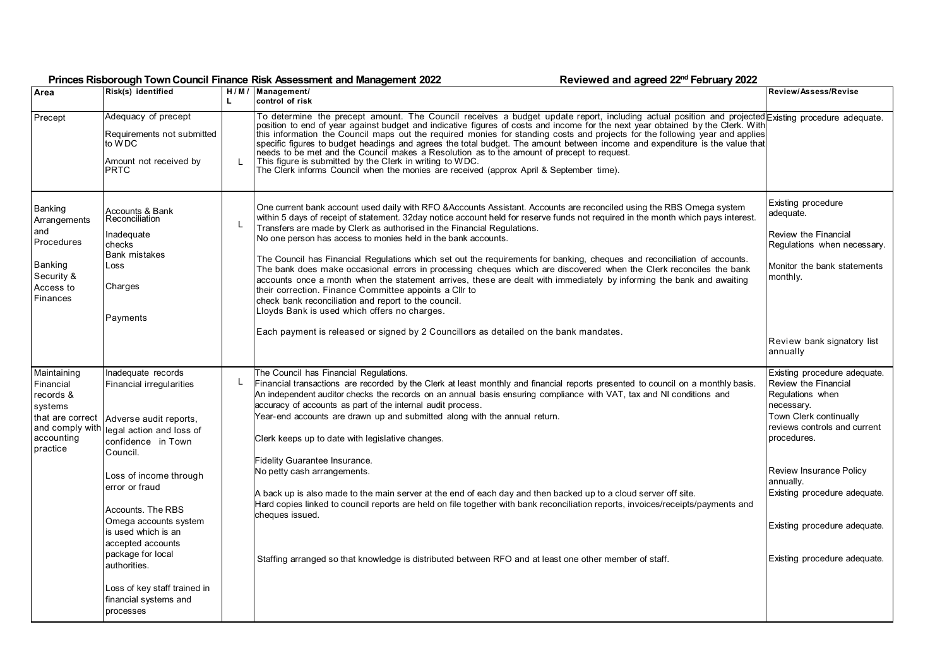## **Princes Risborough TownCouncil Finance Risk Assessment and Management 2022 Reviewed and agreed 22nd February 2022**

| Area                                                                                                              | Risk(s) identified                                                                                                                                                                                                                                                                                                                                |    | H/M/ Management/<br>control of risk                                                                                                                                                                                                                                                                                                                                                                                                                                                                                                                                                                                                                                                                                                                                                                                                                                                                                                                                                                                                          | Review/Assess/Revise                                                                                                                                                                                                                                                                                    |
|-------------------------------------------------------------------------------------------------------------------|---------------------------------------------------------------------------------------------------------------------------------------------------------------------------------------------------------------------------------------------------------------------------------------------------------------------------------------------------|----|----------------------------------------------------------------------------------------------------------------------------------------------------------------------------------------------------------------------------------------------------------------------------------------------------------------------------------------------------------------------------------------------------------------------------------------------------------------------------------------------------------------------------------------------------------------------------------------------------------------------------------------------------------------------------------------------------------------------------------------------------------------------------------------------------------------------------------------------------------------------------------------------------------------------------------------------------------------------------------------------------------------------------------------------|---------------------------------------------------------------------------------------------------------------------------------------------------------------------------------------------------------------------------------------------------------------------------------------------------------|
| Precept                                                                                                           | Adequacy of precept<br>Requirements not submitted<br>to WDC<br>Amount not received by<br><b>PRTC</b>                                                                                                                                                                                                                                              | L. | To determine the precept amount. The Council receives a budget update report, including actual position and projected Existing procedure adequate.<br>position to end of year against budget and indicative figures of costs and income for the next year obtained by the Clerk. With<br>this information the Council maps out the required monies for standing costs and projects for the following year and applies<br>specific figures to budget headings and agrees the total budget. The amount between income and expenditure is the value that needs to be met and the Council makes a Resolution as to the amount of precept to request.<br>This figure is submitted by the Clerk in writing to WDC.<br>The Clerk informs Council when the monies are received (approx April & September time).                                                                                                                                                                                                                                      |                                                                                                                                                                                                                                                                                                         |
| Banking<br>Arrangements<br>and<br>Procedures<br>Banking<br>Security &<br>Access to<br>Finances                    | Accounts & Bank<br>Reconciliation<br>Inadequate<br>checks<br><b>Bank mistakes</b><br>Loss<br>Charges<br>Payments                                                                                                                                                                                                                                  | L  | One current bank account used daily with RFO &Accounts Assistant. Accounts are reconciled using the RBS Omega system<br>within 5 days of receipt of statement. 32day notice account held for reserve funds not required in the month which pays interest.<br>Transfers are made by Clerk as authorised in the Financial Regulations.<br>No one person has access to monies held in the bank accounts.<br>The Council has Financial Regulations which set out the requirements for banking, cheques and reconciliation of accounts.<br>The bank does make occasional errors in processing cheques which are discovered when the Clerk reconciles the bank<br>accounts once a month when the statement arrives, these are dealt with immediately by informing the bank and awaiting<br>their correction. Finance Committee appoints a Cllr to<br>check bank reconciliation and report to the council.<br>Lloyds Bank is used which offers no charges.<br>Each payment is released or signed by 2 Councillors as detailed on the bank mandates. | Existing procedure<br>adequate.<br>Review the Financial<br>Regulations when necessary.<br>Monitor the bank statements<br>monthly.<br>Review bank signatory list<br>annually                                                                                                                             |
| Maintaining<br>Financial<br>records &<br>systems<br>that are correct<br>and comply with<br>accounting<br>practice | Inadequate records<br>Financial irregularities<br>Adverse audit reports,<br>legal action and loss of<br>confidence in Town<br>Council.<br>Loss of income through<br>error or fraud<br>Accounts. The RBS<br>Omega accounts system<br>is used which is an<br>accepted accounts<br>package for local<br>authorities.<br>Loss of key staff trained in | L. | The Council has Financial Regulations.<br>Financial transactions are recorded by the Clerk at least monthly and financial reports presented to council on a monthly basis.<br>An independent auditor checks the records on an annual basis ensuring compliance with VAT, tax and NI conditions and<br>accuracy of accounts as part of the internal audit process.<br>Year-end accounts are drawn up and submitted along with the annual return.<br>Clerk keeps up to date with legislative changes.<br><b>Fidelity Guarantee Insurance.</b><br>No petty cash arrangements.<br>A back up is also made to the main server at the end of each day and then backed up to a cloud server off site.<br>Hard copies linked to council reports are held on file together with bank reconciliation reports, invoices/receipts/payments and<br>cheques issued.<br>Staffing arranged so that knowledge is distributed between RFO and at least one other member of staff.                                                                               | Existing procedure adequate.<br>Review the Financial<br>Regulations when<br>necessary.<br>Town Clerk continually<br>reviews controls and current<br>procedures.<br>Review Insurance Policy<br>annually.<br>Existing procedure adequate.<br>Existing procedure adequate.<br>Existing procedure adequate. |
|                                                                                                                   | financial systems and<br>processes                                                                                                                                                                                                                                                                                                                |    |                                                                                                                                                                                                                                                                                                                                                                                                                                                                                                                                                                                                                                                                                                                                                                                                                                                                                                                                                                                                                                              |                                                                                                                                                                                                                                                                                                         |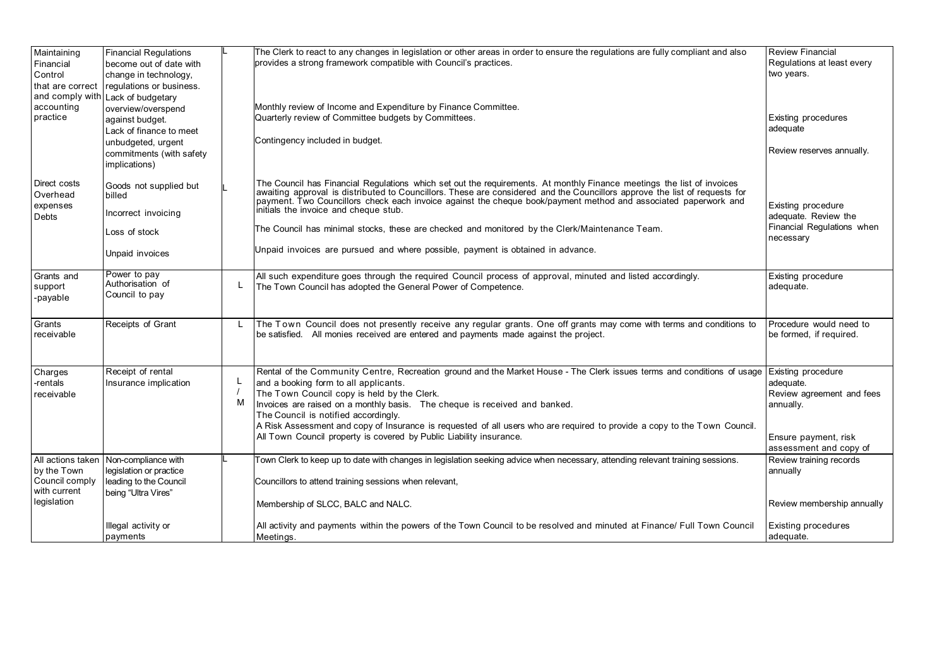| Maintaining       | <b>Financial Regulations</b>      |   | The Clerk to react to any changes in legislation or other areas in order to ensure the regulations are fully compliant and also                                                                                                  | <b>Review Financial</b>    |
|-------------------|-----------------------------------|---|----------------------------------------------------------------------------------------------------------------------------------------------------------------------------------------------------------------------------------|----------------------------|
| Financial         | become out of date with           |   | provides a strong framework compatible with Council's practices.                                                                                                                                                                 | Regulations at least every |
| Control           | change in technology,             |   |                                                                                                                                                                                                                                  | two years.                 |
| that are correct  | requlations or business.          |   |                                                                                                                                                                                                                                  |                            |
|                   | and comply with Lack of budgetary |   |                                                                                                                                                                                                                                  |                            |
| accounting        | overview/overspend                |   | Monthly review of Income and Expenditure by Finance Committee.                                                                                                                                                                   |                            |
| practice          | against budget.                   |   | Quarterly review of Committee budgets by Committees.                                                                                                                                                                             | <b>Existing procedures</b> |
|                   | Lack of finance to meet           |   |                                                                                                                                                                                                                                  | adequate                   |
|                   | unbudgeted, urgent                |   | Contingency included in budget.                                                                                                                                                                                                  |                            |
|                   | commitments (with safety          |   |                                                                                                                                                                                                                                  | Review reserves annually.  |
|                   | implications)                     |   |                                                                                                                                                                                                                                  |                            |
| Direct costs      | Goods not supplied but            |   |                                                                                                                                                                                                                                  |                            |
| Overhead          | billed                            |   | The Council has Financial Regulations which set out the requirements. At monthly Finance meetings the list of invoices<br> awaiting approval is distributed to Councillors. These are considered and the Councillors approve the |                            |
| expenses          |                                   |   | payment. Two Councillors check each invoice against the cheque book/payment method and associated paperwork and                                                                                                                  | Existing procedure         |
| <b>Debts</b>      | Incorrect invoicing               |   | initials the invoice and cheque stub.                                                                                                                                                                                            | adequate. Review the       |
|                   | Loss of stock                     |   | The Council has minimal stocks, these are checked and monitored by the Clerk/Maintenance Team.                                                                                                                                   | Financial Regulations when |
|                   |                                   |   |                                                                                                                                                                                                                                  | necessary                  |
|                   | Unpaid invoices                   |   | Unpaid invoices are pursued and where possible, payment is obtained in advance.                                                                                                                                                  |                            |
|                   |                                   |   |                                                                                                                                                                                                                                  |                            |
| Grants and        | Power to pay<br>Authorisation of  |   | All such expenditure goes through the required Council process of approval, minuted and listed accordingly.                                                                                                                      | Existing procedure         |
| support           | Council to pay                    | L | The Town Council has adopted the General Power of Competence.                                                                                                                                                                    | adequate.                  |
| -payable          |                                   |   |                                                                                                                                                                                                                                  |                            |
|                   |                                   |   |                                                                                                                                                                                                                                  |                            |
| Grants            | Receipts of Grant                 | L | The Town Council does not presently receive any regular grants. One off grants may come with terms and conditions to                                                                                                             | Procedure would need to    |
| receivable        |                                   |   | be satisfied. All monies received are entered and payments made against the project.                                                                                                                                             | be formed, if required.    |
|                   |                                   |   |                                                                                                                                                                                                                                  |                            |
| Charges           | Receipt of rental                 |   | Rental of the Community Centre, Recreation ground and the Market House - The Clerk issues terms and conditions of usage                                                                                                          | Existing procedure         |
| -rentals          | Insurance implication             | L | and a booking form to all applicants.                                                                                                                                                                                            | adequate.                  |
| receivable        |                                   |   | The Town Council copy is held by the Clerk.                                                                                                                                                                                      | Review agreement and fees  |
|                   |                                   | M | Invoices are raised on a monthly basis. The cheque is received and banked.                                                                                                                                                       | annually.                  |
|                   |                                   |   | The Council is notified accordingly.                                                                                                                                                                                             |                            |
|                   |                                   |   | A Risk Assessment and copy of Insurance is requested of all users who are required to provide a copy to the Town Council.                                                                                                        |                            |
|                   |                                   |   | All Town Council property is covered by Public Liability insurance.                                                                                                                                                              | Ensure payment, risk       |
|                   |                                   |   |                                                                                                                                                                                                                                  | assessment and copy of     |
| All actions taken | Non-compliance with               |   | Town Clerk to keep up to date with changes in legislation seeking advice when necessary, attending relevant training sessions.                                                                                                   | Review training records    |
| by the Town       | legislation or practice           |   |                                                                                                                                                                                                                                  | annually                   |
| Council comply    | leading to the Council            |   | Councillors to attend training sessions when relevant,                                                                                                                                                                           |                            |
| with current      | being "Ultra Vires"               |   |                                                                                                                                                                                                                                  |                            |
| legislation       |                                   |   | Membership of SLCC, BALC and NALC.                                                                                                                                                                                               | Review membership annually |
|                   |                                   |   |                                                                                                                                                                                                                                  |                            |
|                   | Illegal activity or               |   | All activity and payments within the powers of the Town Council to be resolved and minuted at Finance/ Full Town Council                                                                                                         | Existing procedures        |
|                   | payments                          |   | Meetings.                                                                                                                                                                                                                        | adequate.                  |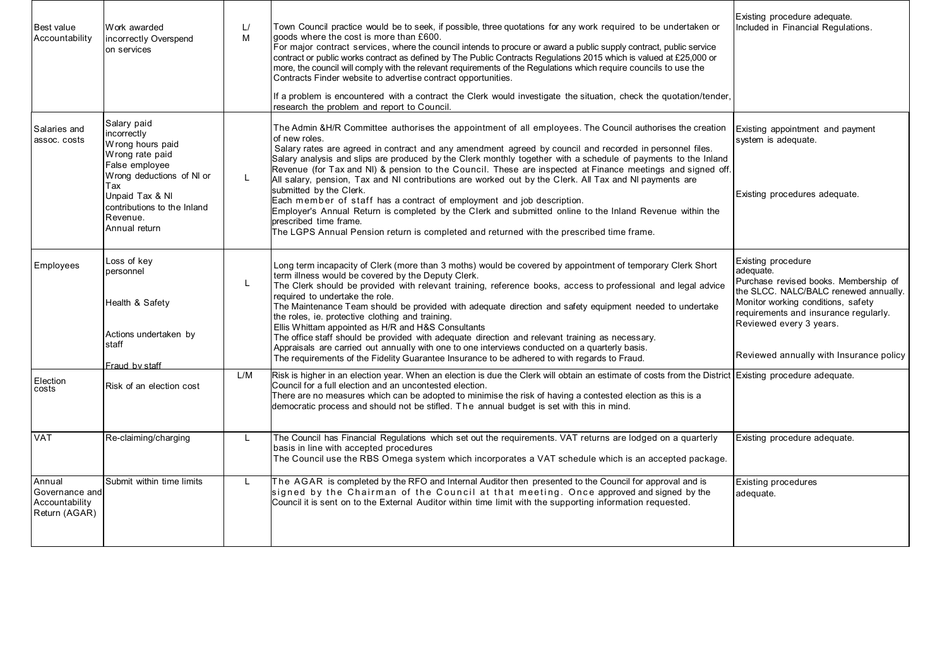| Best value<br>Accountability                                | Work awarded<br>incorrectly Overspend<br>on services                                                                                                                                                   | L/<br>M      | Town Council practice would be to seek, if possible, three quotations for any work required to be undertaken or<br>goods where the cost is more than £600.<br>For major contract services, where the council intends to procure or award a public supply contract, public service<br>contract or public works contract as defined by The Public Contracts Regulations 2015 which is valued at £25,000 or<br>more, the council will comply with the relevant requirements of the Regulations which require councils to use the<br>Contracts Finder website to advertise contract opportunities.<br>If a problem is encountered with a contract the Clerk would investigate the situation, check the quotation/tender,<br>research the problem and report to Council.                                                                                                                                                     | Existing procedure adequate.<br>Included in Financial Regulations.                                                                                                                                                                                                     |
|-------------------------------------------------------------|--------------------------------------------------------------------------------------------------------------------------------------------------------------------------------------------------------|--------------|-------------------------------------------------------------------------------------------------------------------------------------------------------------------------------------------------------------------------------------------------------------------------------------------------------------------------------------------------------------------------------------------------------------------------------------------------------------------------------------------------------------------------------------------------------------------------------------------------------------------------------------------------------------------------------------------------------------------------------------------------------------------------------------------------------------------------------------------------------------------------------------------------------------------------|------------------------------------------------------------------------------------------------------------------------------------------------------------------------------------------------------------------------------------------------------------------------|
| Salaries and<br>assoc. costs                                | Salary paid<br>incorrectly<br>Wrong hours paid<br>Wrong rate paid<br>False employee<br>Wrong deductions of NI or<br>Гах<br>Unpaid Tax & NI<br>contributions to the Inland<br>Revenue.<br>Annual return | $\mathsf{L}$ | The Admin &H/R Committee authorises the appointment of all employees. The Council authorises the creation<br>of new roles.<br>Salary rates are agreed in contract and any amendment agreed by council and recorded in personnel files.<br>Salary analysis and slips are produced by the Clerk monthly together with a schedule of payments to the Inland<br>Revenue (for Tax and NI) & pension to the Council. These are inspected at Finance meetings and signed off.<br>All salary, pension, Tax and NI contributions are worked out by the Clerk. All Tax and NI payments are<br>submitted by the Clerk.<br>Each member of staff has a contract of employment and job description.<br>Employer's Annual Return is completed by the Clerk and submitted online to the Inland Revenue within the<br>prescribed time frame.<br>The LGPS Annual Pension return is completed and returned with the prescribed time frame. | Existing appointment and payment<br>system is adequate.<br>Existing procedures adequate.                                                                                                                                                                               |
| Employees                                                   | Loss of key<br>personnel<br>Health & Safety<br>Actions undertaken by<br>staff<br>Fraud by staff                                                                                                        | L            | Long term incapacity of Clerk (more than 3 moths) would be covered by appointment of temporary Clerk Short<br>term illness would be covered by the Deputy Clerk.<br>The Clerk should be provided with relevant training, reference books, access to professional and legal advice<br>required to undertake the role.<br>The Maintenance Team should be provided with adequate direction and safety equipment needed to undertake<br>the roles, ie. protective clothing and training.<br>Ellis Whittam appointed as H/R and H&S Consultants<br>The office staff should be provided with adequate direction and relevant training as necessary.<br>Appraisals are carried out annually with one to one interviews conducted on a quarterly basis.<br>The requirements of the Fidelity Guarantee Insurance to be adhered to with regards to Fraud.                                                                         | Existing procedure<br>adequate.<br>Purchase revised books. Membership of<br>the SLCC. NALC/BALC renewed annually.<br>Monitor working conditions, safety<br>requirements and insurance regularly.<br>Reviewed every 3 years.<br>Reviewed annually with Insurance policy |
| Election<br>costs                                           | Risk of an election cost                                                                                                                                                                               | L/M          | Risk is higher in an election year. When an election is due the Clerk will obtain an estimate of costs from the District Existing procedure adequate.<br>Council for a full election and an uncontested election.<br>There are no measures which can be adopted to minimise the risk of having a contested election as this is a<br>democratic process and should not be stifled. The annual budget is set with this in mind.                                                                                                                                                                                                                                                                                                                                                                                                                                                                                           |                                                                                                                                                                                                                                                                        |
| <b>VAT</b>                                                  | Re-claiming/charging                                                                                                                                                                                   | L            | The Council has Financial Regulations which set out the requirements. VAT returns are lodged on a quarterly<br>basis in line with accepted procedures<br>The Council use the RBS Omega system which incorporates a VAT schedule which is an accepted package.                                                                                                                                                                                                                                                                                                                                                                                                                                                                                                                                                                                                                                                           | Existing procedure adequate.                                                                                                                                                                                                                                           |
| Annual<br>Governance and<br>Accountability<br>Return (AGAR) | Submit within time limits                                                                                                                                                                              | $\mathsf{L}$ | The AGAR is completed by the RFO and Internal Auditor then presented to the Council for approval and is<br>signed by the Chairman of the Council at that meeting. Once approved and signed by the<br>Council it is sent on to the External Auditor within time limit with the supporting information requested.                                                                                                                                                                                                                                                                                                                                                                                                                                                                                                                                                                                                         | <b>Existing procedures</b><br>adequate.                                                                                                                                                                                                                                |